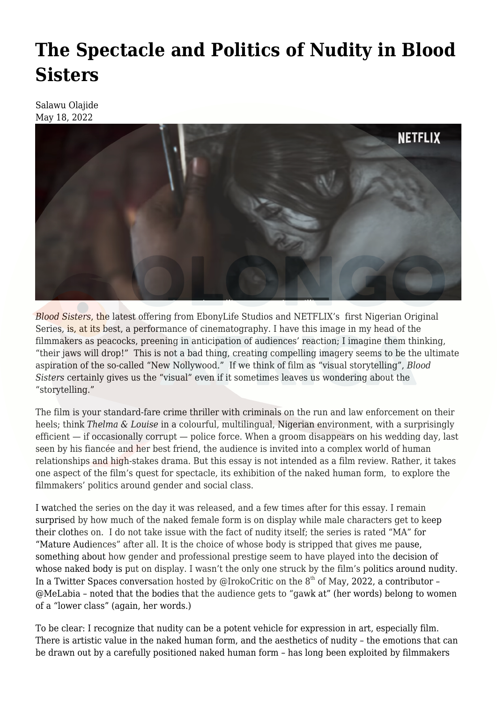## **[The Spectacle and Politics of Nudity in Blood](https://olongoafrica.com/the-spectacle-and-politics-of-nudity-in-blood-sisters/) [Sisters](https://olongoafrica.com/the-spectacle-and-politics-of-nudity-in-blood-sisters/)**

Salawu Olajide May 18, 2022



*Blood Sisters*, the latest offering from EbonyLife Studios and NETFLIX's first Nigerian Original Series, is, at its best, a performance of cinematography. I have this image in my head of the filmmakers as peacocks, preening in anticipation of audiences' reaction; I imagine them thinking, "their jaws will drop!" This is not a bad thing, creating compelling imagery seems to be the ultimate aspiration of the so-called "New Nollywood." If we think of film as "visual storytelling", *Blood Sisters* certainly gives us the "visual" even if it sometimes leaves us wondering about the "storytelling."

The film is your standard-fare crime thriller with criminals on the run and law enforcement on their heels; think *Thelma & Louise* in a colourful, multilingual, Nigerian environment, with a surprisingly efficient — if occasionally corrupt — police force. When a groom disappears on his wedding day, last seen by his fiancée and her best friend, the audience is invited into a complex world of human relationships and high-stakes drama. But this essay is not intended as a film review. Rather, it takes one aspect of the film's quest for spectacle, its exhibition of the naked human form, to explore the filmmakers' politics around gender and social class.

I watched the series on the day it was released, and a few times after for this essay. I remain surprised by how much of the naked female form is on display while male characters get to keep their clothes on. I do not take issue with the fact of nudity itself; the series is rated "MA" for "Mature Audiences" after all. It is the choice of whose body is stripped that gives me pause, something about how gender and professional prestige seem to have played into the decision of whose naked body is put on display. I wasn't the only one struck by the film's politics around nudity. In a Twitter Spaces conversation hosted by [@IrokoCritic](https://twitter.com/irokocritic?s=20&t=nQUSdtl9GAiljlaZ_JcUsA) on the  $8<sup>th</sup>$  of May, 2022, a contributor – [@MeLabia](https://twitter.com/MeLabia?s=20&t=nQUSdtl9GAiljlaZ_JcUsA) – noted that the bodies that the audience gets to "gawk at" (her words) belong to women of a "lower class" (again, her words.)

To be clear: I recognize that nudity can be a potent vehicle for expression in art, especially film. There is artistic value in the naked human form, and the aesthetics of nudity – the emotions that can be drawn out by a carefully positioned naked human form – has long been exploited by filmmakers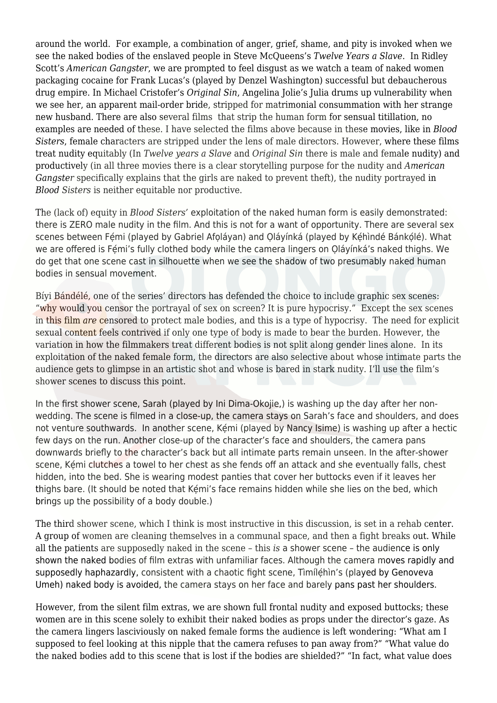around the world. For example, a combination of anger, grief, shame, and pity is invoked when we see the naked bodies of the enslaved people in Steve McQueens's *Twelve Years a Slave*. In Ridley Scott's *American Gangster*, we are prompted to feel disgust as we watch a team of naked women packaging cocaine for Frank Lucas's (played by Denzel Washington) successful but debaucherous drug empire. In Michael Cristofer's *Original Sin*, Angelina Jolie's Julia drums up vulnerability when we see her, an apparent mail-order bride, stripped for matrimonial consummation with her strange new husband. There are also several films that strip the human form for sensual titillation, no examples are needed of these. I have selected the films above because in these movies, like in *Blood Sisters*, female characters are stripped under the lens of male directors. However, where these films treat nudity equitably (In *Twelve years a Slave* and *Original Sin* there is male and female nudity) and productively (in all three movies there is a clear storytelling purpose for the nudity and *American Gangster* specifically explains that the girls are naked to prevent theft), the nudity portrayed in *Blood Sisters* is neither equitable nor productive.

The (lack of) equity in *Blood Sisters'* exploitation of the naked human form is easily demonstrated: there is ZERO male nudity in the film. And this is not for a want of opportunity. There are several sex scenes between Fémi (played by Gabriel Afoláyan) and Oláyínká (played by Kéhìndé Bánkólé). What we are offered is Fémi's fully clothed body while the camera lingers on Oláyínká's naked thighs. We do get that one scene cast in silhouette when we see the shadow of two presumably naked human bodies in sensual movement.

Bíyi Bándélé, one of the series' directors has [defended](https://lifestyle.thecable.ng/interview-shooting-blood-sisters-at-peak-of-covid-19-scary-says-biyi-bandele/#.Ynl-tOrGlew.twitter) the choice to include graphic sex scenes: "why would you censor the portrayal of sex on screen? It is pure hypocrisy." Except the sex scenes in this film *are* censored to protect male bodies, and this is a type of hypocrisy. The need for explicit sexual content feels contrived if only one type of body is made to bear the burden. However, the variation in how the filmmakers treat different bodies is not split along gender lines alone. In its exploitation of the naked female form, the directors are also selective about whose intimate parts the audience gets to glimpse in an artistic shot and whose is bared in stark nudity. I'll use the film's shower scenes to discuss this point.

In the first shower scene, Sarah (played by Ini Dima-Okojie,) is washing up the day after her nonwedding. The scene is filmed in a close-up, the camera stays on Sarah's face and shoulders, and does not venture southwards. In another scene, Kémi (played by Nancy Isime) is washing up after a hectic few days on the run. Another close-up of the character's face and shoulders, the camera pans downwards briefly to the character's back but all intimate parts remain unseen. In the after-shower scene, Kémi clutches a towel to her chest as she fends off an attack and she eventually falls, chest hidden, into the bed. She is wearing modest panties that cover her buttocks even if it leaves her thighs bare. (It should be noted that Kemi's face remains hidden while she lies on the bed, which brings up the possibility of a body double.)

The third shower scene, which I think is most instructive in this discussion, is set in a rehab center. A group of women are cleaning themselves in a communal space, and then a fight breaks out. While all the patients are supposedly naked in the scene – this *is* a shower scene – the audience is only shown the naked bodies of film extras with unfamiliar faces. Although the camera moves rapidly and supposedly haphazardly, consistent with a chaotic fight scene, Timíléhin's (played by Genoveva Umeh) naked body is avoided, the camera stays on her face and barely pans past her shoulders.

However, from the silent film extras, we are shown full frontal nudity and exposed buttocks; these women are in this scene solely to exhibit their naked bodies as props under the director's gaze. As the camera lingers lasciviously on naked female forms the audience is left wondering: "What am I supposed to feel looking at this nipple that the camera refuses to pan away from?" "What value do the naked bodies add to this scene that is lost if the bodies are shielded?" "In fact, what value does